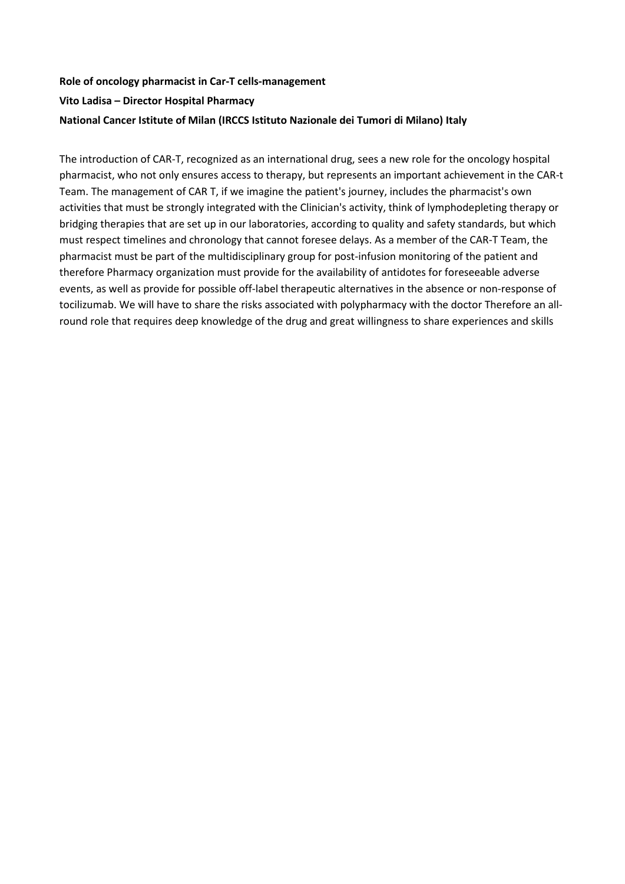## **Role of oncology pharmacist in Car-T cells-management Vito Ladisa – Director Hospital Pharmacy National Cancer Istitute of Milan (IRCCS Istituto Nazionale dei Tumori di Milano) Italy**

The introduction of CAR-T, recognized as an international drug, sees a new role for the oncology hospital pharmacist, who not only ensures access to therapy, but represents an important achievement in the CAR-t Team. The management of CAR T, if we imagine the patient's journey, includes the pharmacist's own activities that must be strongly integrated with the Clinician's activity, think of lymphodepleting therapy or bridging therapies that are set up in our laboratories, according to quality and safety standards, but which must respect timelines and chronology that cannot foresee delays. As a member of the CAR-T Team, the pharmacist must be part of the multidisciplinary group for post-infusion monitoring of the patient and therefore Pharmacy organization must provide for the availability of antidotes for foreseeable adverse events, as well as provide for possible off-label therapeutic alternatives in the absence or non-response of tocilizumab. We will have to share the risks associated with polypharmacy with the doctor Therefore an allround role that requires deep knowledge of the drug and great willingness to share experiences and skills